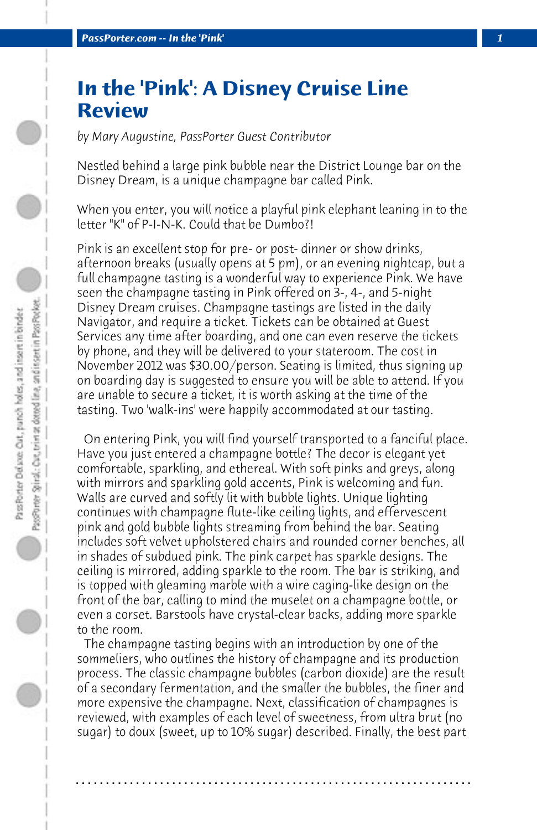## **In the 'Pink': A Disney Cruise Line Review**

*by Mary Augustine, PassPorter Guest Contributor*

Nestled behind a large pink bubble near the District Lounge bar on the Disney Dream, is a unique champagne bar called Pink.

When you enter, you will notice a playful pink elephant leaning in to the letter "K" of P-I-N-K. Could that be Dumbo?!

Pink is an excellent stop for pre- or post- dinner or show drinks, afternoon breaks (usually opens at 5 pm), or an evening nightcap, but a full champagne tasting is a wonderful way to experience Pink. We have seen the champagne tasting in Pink offered on 3-, 4-, and 5-night Disney Dream cruises. Champagne tastings are listed in the daily Navigator, and require a ticket. Tickets can be obtained at Guest Services any time after boarding, and one can even reserve the tickets by phone, and they will be delivered to your stateroom. The cost in November 2012 was \$30.00/person. Seating is limited, thus signing up on boarding day is suggested to ensure you will be able to attend. If you are unable to secure a ticket, it is worth asking at the time of the tasting. Two 'walk-ins' were happily accommodated at our tasting.

 On entering Pink, you will find yourself transported to a fanciful place. Have you just entered a champagne bottle? The decor is elegant yet comfortable, sparkling, and ethereal. With soft pinks and greys, along with mirrors and sparkling gold accents, Pink is welcoming and fun. Walls are curved and softly lit with bubble lights. Unique lighting continues with champagne flute-like ceiling lights, and effervescent pink and gold bubble lights streaming from behind the bar. Seating includes soft velvet upholstered chairs and rounded corner benches, all in shades of subdued pink. The pink carpet has sparkle designs. The ceiling is mirrored, adding sparkle to the room. The bar is striking, and is topped with gleaming marble with a wire caging-like design on the front of the bar, calling to mind the muselet on a champagne bottle, or even a corset. Barstools have crystal-clear backs, adding more sparkle to the room.

 The champagne tasting begins with an introduction by one of the sommeliers, who outlines the history of champagne and its production process. The classic champagne bubbles (carbon dioxide) are the result of a secondary fermentation, and the smaller the bubbles, the finer and more expensive the champagne. Next, classification of champagnes is reviewed, with examples of each level of sweetness, from ultra brut (no sugar) to doux (sweet, up to 10% sugar) described. Finally, the best part

**. . . . . . . . . . . . . . . . . . . . . . . . . . . . . . . . . . . . . . . . . . . . . . . . . . . . . . . . . . . . . . . . . .**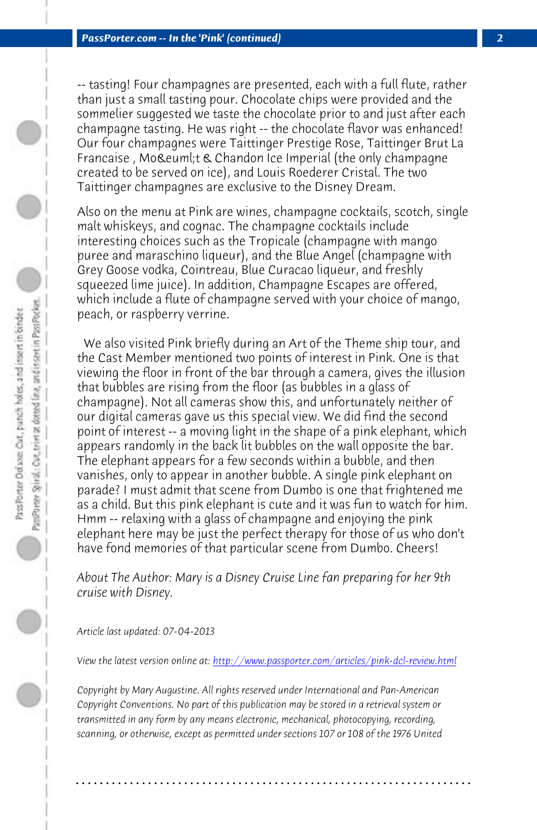*PassPorter.com -- In the 'Pink' (continued) 2*

-- tasting! Four champagnes are presented, each with a full flute, rather than just a small tasting pour. Chocolate chips were provided and the sommelier suggested we taste the chocolate prior to and just after each champagne tasting. He was right -- the chocolate flavor was enhanced! Our four champagnes were Taittinger Prestige Rose, Taittinger Brut La Francaise, Moët & Chandon Ice Imperial (the only champagne created to be served on ice), and Louis Roederer Cristal. The two Taittinger champagnes are exclusive to the Disney Dream.

Also on the menu at Pink are wines, champagne cocktails, scotch, single malt whiskeys, and cognac. The champagne cocktails include interesting choices such as the Tropicale (champagne with mango puree and maraschino liqueur), and the Blue Angel (champagne with Grey Goose vodka, Cointreau, Blue Curacao liqueur, and freshly squeezed lime juice). In addition, Champagne Escapes are offered, which include a flute of champagne served with your choice of mango, peach, or raspberry verrine.

 We also visited Pink briefly during an Art of the Theme ship tour, and the Cast Member mentioned two points of interest in Pink. One is that viewing the floor in front of the bar through a camera, gives the illusion that bubbles are rising from the floor (as bubbles in a glass of champagne). Not all cameras show this, and unfortunately neither of our digital cameras gave [us this special view. We did find the second](http://www.passporter.com/articles/pink-dcl-review.php) point of interest -- a moving light in the shape of a pink elephant, which appears randomly in the back lit bubbles on the wall opposite the bar. The elephant appears for a few seconds within a bubble, and then vanishes, only to appear in another bubble. A single pink elephant on parade? I must admit that scene from Dumbo is one that frightened me as a child. But this pink elephant is cute and it was fun to watch for him. Hmm -- relaxing with a glass of champagne and enjoying the pink elephant here may be just the perfect therapy for those of us who don't have fond memories of that particular scene from Dumbo. Cheers!

*About The Author: Mary is a Disney Cruise Line fan preparing for her 9th cruise with Disney.*

*Article last updated: 07-04-2013*

*View the latest version online at: http://www.passporter.com/articles/pink-dcl-review.html*

*Copyright by Mary Augustine. All rights reserved under International and Pan-American Copyright Conventions. No part of this publication may be stored in a retrieval system or transmitted in any form by any means electronic, mechanical, photocopying, recording, scanning, or otherwise, except as permitted under sections 107 or 108 of the 1976 United*

**. . . . . . . . . . . . . . . . . . . . . . . . . . . . . . . . . . . . . . . . . . . . . . . . . . . . . . . . . . . . . . . . . .**

D